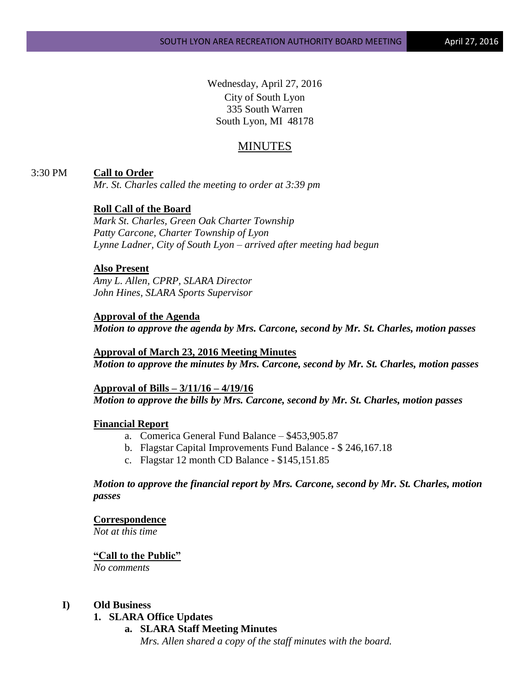Wednesday, April 27, 2016 City of South Lyon 335 South Warren South Lyon, MI 48178

# MINUTES

# 3:30 PM **Call to Order**

*Mr. St. Charles called the meeting to order at 3:39 pm*

# **Roll Call of the Board**

*Mark St. Charles, Green Oak Charter Township Patty Carcone, Charter Township of Lyon Lynne Ladner, City of South Lyon – arrived after meeting had begun*

### **Also Present**

*Amy L. Allen, CPRP, SLARA Director John Hines, SLARA Sports Supervisor*

### **Approval of the Agenda**

*Motion to approve the agenda by Mrs. Carcone, second by Mr. St. Charles, motion passes*

# **Approval of March 23, 2016 Meeting Minutes**

*Motion to approve the minutes by Mrs. Carcone, second by Mr. St. Charles, motion passes*

# **Approval of Bills – 3/11/16 – 4/19/16** *Motion to approve the bills by Mrs. Carcone, second by Mr. St. Charles, motion passes*

# **Financial Report**

- a. Comerica General Fund Balance \$453,905.87
- b. Flagstar Capital Improvements Fund Balance \$ 246,167.18
- c. Flagstar 12 month CD Balance \$145,151.85

# *Motion to approve the financial report by Mrs. Carcone, second by Mr. St. Charles, motion passes*

### **Correspondence**

*Not at this time*

# **"Call to the Public"**

*No comments*

# **I) Old Business**

#### **1. SLARA Office Updates**

**a. SLARA Staff Meeting Minutes**

*Mrs. Allen shared a copy of the staff minutes with the board.*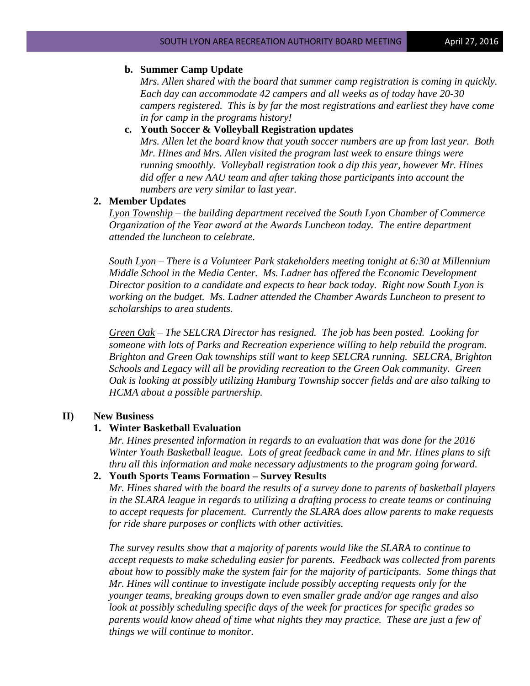# **b. Summer Camp Update**

*Mrs. Allen shared with the board that summer camp registration is coming in quickly. Each day can accommodate 42 campers and all weeks as of today have 20-30 campers registered. This is by far the most registrations and earliest they have come in for camp in the programs history!*

# **c. Youth Soccer & Volleyball Registration updates**

*Mrs. Allen let the board know that youth soccer numbers are up from last year. Both Mr. Hines and Mrs. Allen visited the program last week to ensure things were running smoothly. Volleyball registration took a dip this year, however Mr. Hines did offer a new AAU team and after taking those participants into account the numbers are very similar to last year.* 

### **2. Member Updates**

*Lyon Township – the building department received the South Lyon Chamber of Commerce Organization of the Year award at the Awards Luncheon today. The entire department attended the luncheon to celebrate.* 

*South Lyon – There is a Volunteer Park stakeholders meeting tonight at 6:30 at Millennium Middle School in the Media Center. Ms. Ladner has offered the Economic Development Director position to a candidate and expects to hear back today. Right now South Lyon is*  working on the budget. Ms. Ladner attended the Chamber Awards Luncheon to present to *scholarships to area students.*

*Green Oak – The SELCRA Director has resigned. The job has been posted. Looking for someone with lots of Parks and Recreation experience willing to help rebuild the program. Brighton and Green Oak townships still want to keep SELCRA running. SELCRA, Brighton Schools and Legacy will all be providing recreation to the Green Oak community. Green Oak is looking at possibly utilizing Hamburg Township soccer fields and are also talking to HCMA about a possible partnership.*

#### **II) New Business**

# **1. Winter Basketball Evaluation**

*Mr. Hines presented information in regards to an evaluation that was done for the 2016 Winter Youth Basketball league. Lots of great feedback came in and Mr. Hines plans to sift thru all this information and make necessary adjustments to the program going forward.*

# **2. Youth Sports Teams Formation – Survey Results**

*Mr. Hines shared with the board the results of a survey done to parents of basketball players in the SLARA league in regards to utilizing a drafting process to create teams or continuing to accept requests for placement. Currently the SLARA does allow parents to make requests for ride share purposes or conflicts with other activities.* 

*The survey results show that a majority of parents would like the SLARA to continue to accept requests to make scheduling easier for parents. Feedback was collected from parents about how to possibly make the system fair for the majority of participants. Some things that Mr. Hines will continue to investigate include possibly accepting requests only for the younger teams, breaking groups down to even smaller grade and/or age ranges and also look at possibly scheduling specific days of the week for practices for specific grades so parents would know ahead of time what nights they may practice. These are just a few of things we will continue to monitor.*